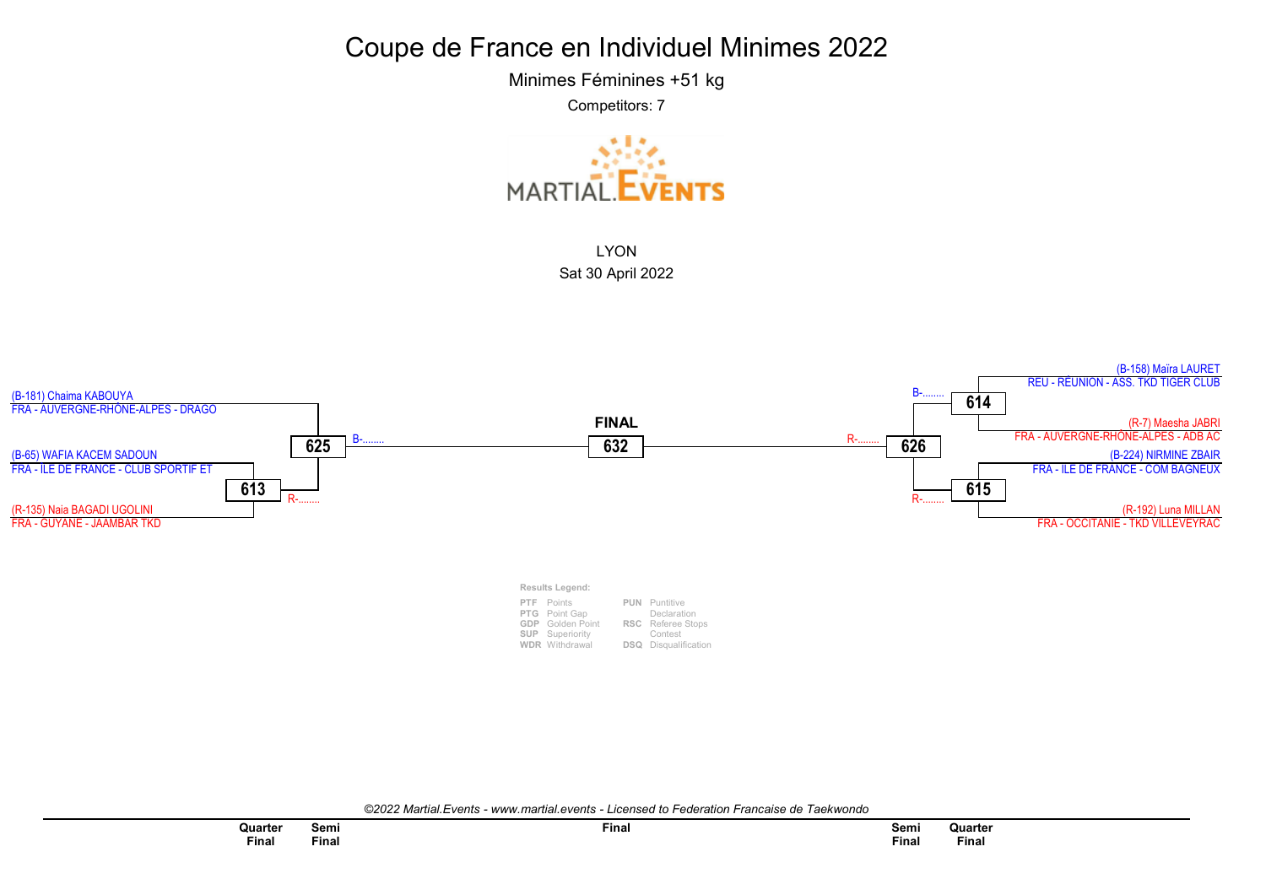Minimes Féminines +51 kg

Competitors: 7





©2022 Martial.Events - www.martial.events - Licensed to Federation Francaise de Taekwondo

| Quarter      | Semi  | <b>Final</b> |
|--------------|-------|--------------|
| <b>Final</b> | Final |              |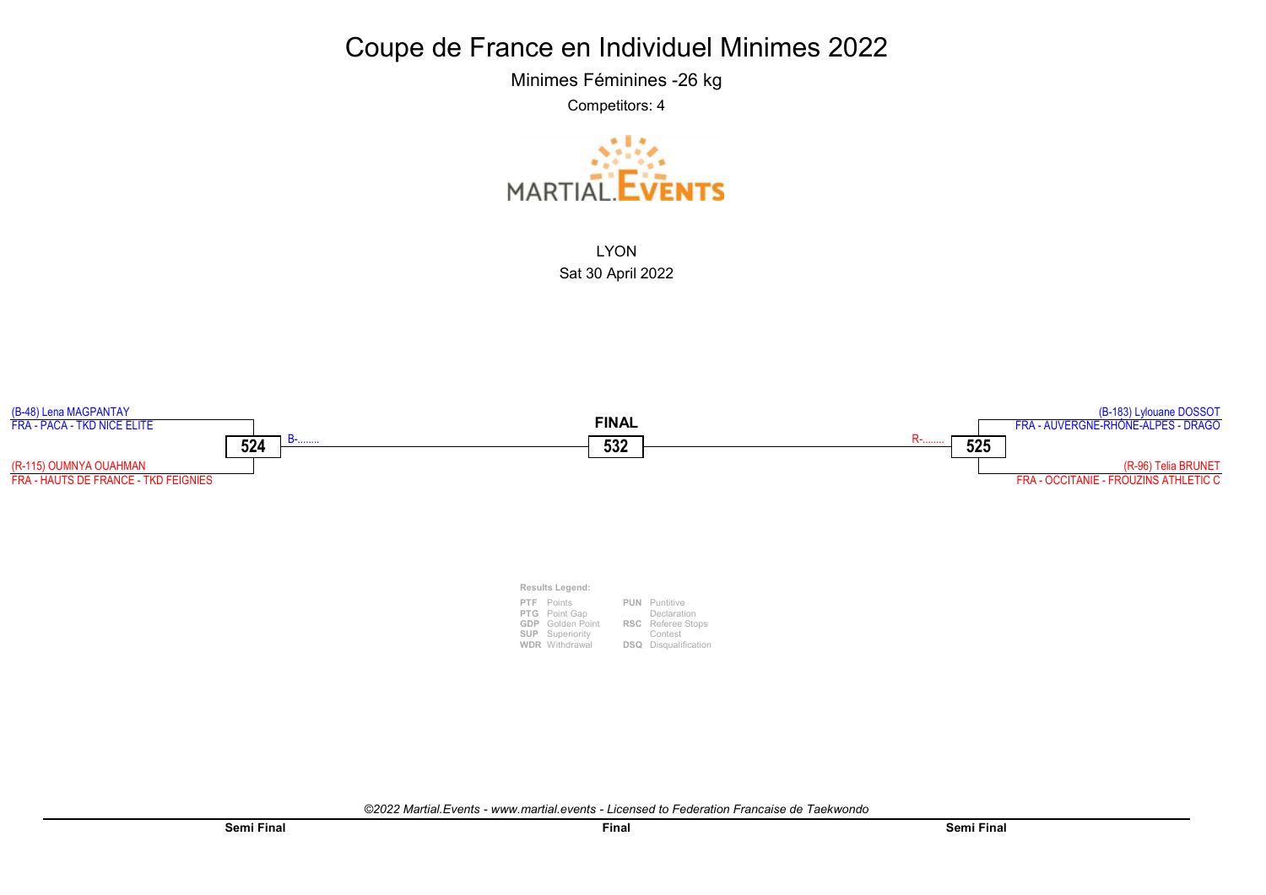Minimes Féminines -26 kg

Competitors: 4



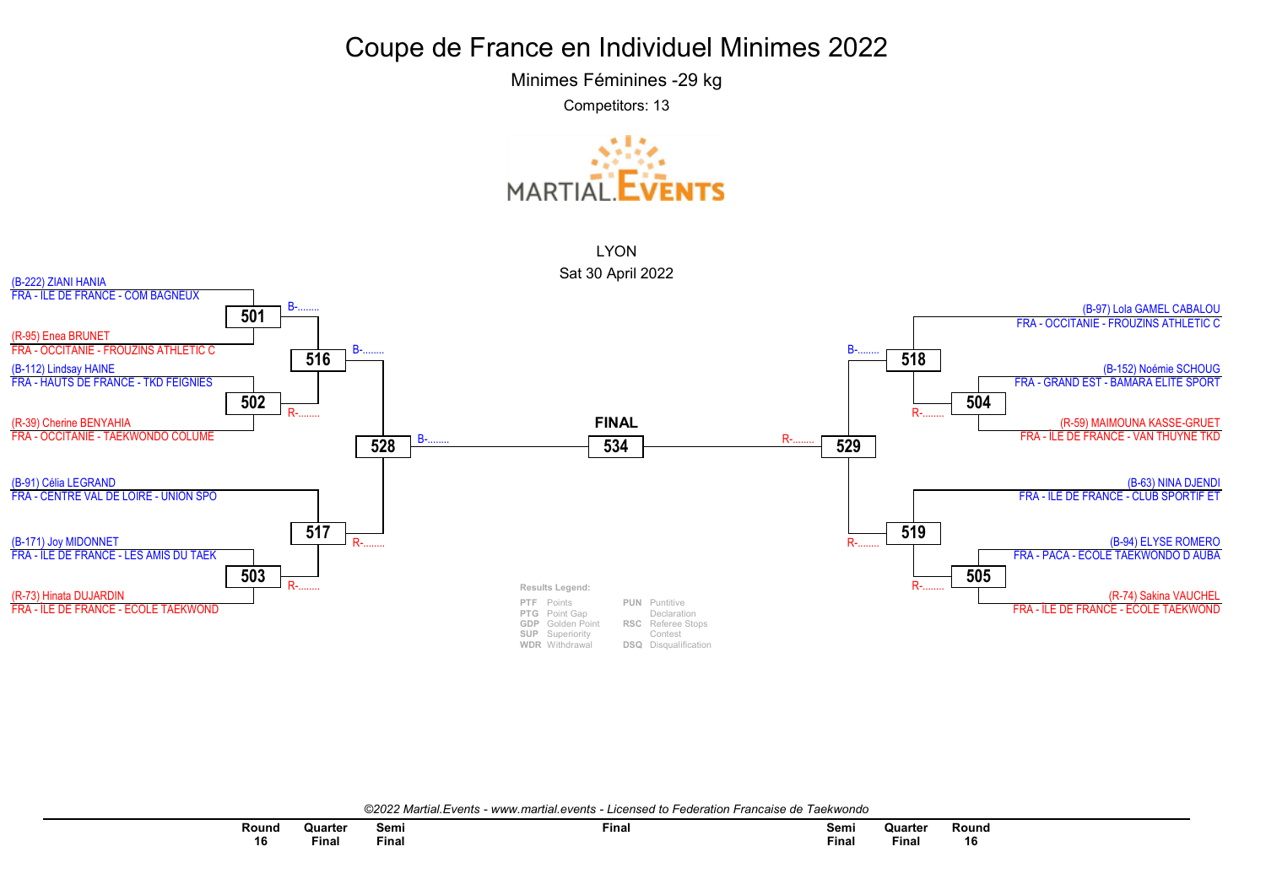Minimes Féminines -29 kg

Competitors: 13





©2022 Martial Events - www.martial.events - Licensed to Federation Francaise de Taekwondo

| Round | Quarter | Semi  | $F$ inal | Semi | Quarter | Rounc |
|-------|---------|-------|----------|------|---------|-------|
|       |         | $ -$  |          | $ -$ |         |       |
| 16    | Final   | ™inal |          | Fina | Final   | 16    |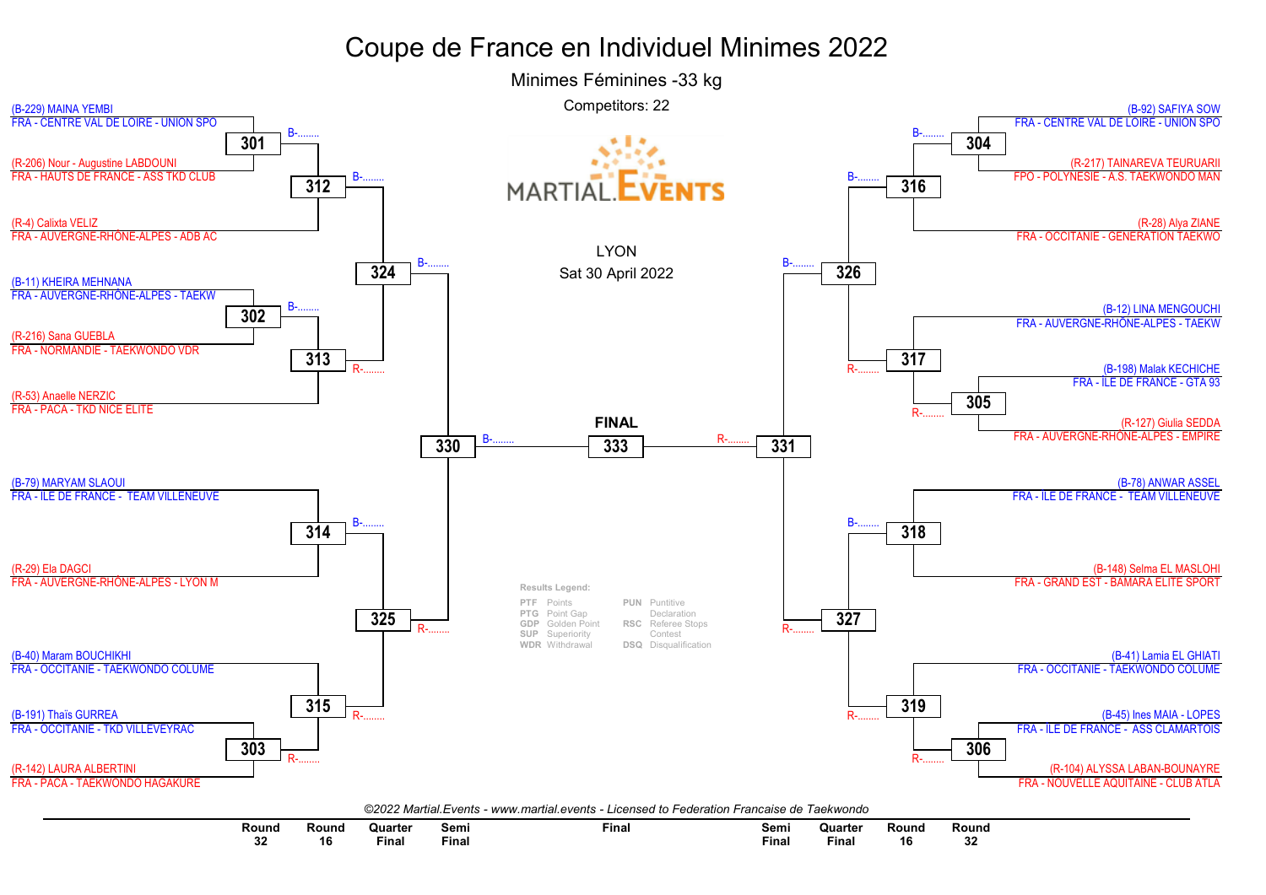

| Round | Round | Quarte.                                                                         | Semi  | Final | Semi  | Quarte                                                                          | Round | Round |
|-------|-------|---------------------------------------------------------------------------------|-------|-------|-------|---------------------------------------------------------------------------------|-------|-------|
|       |       | the contract of the contract of the contract of the contract of the contract of |       |       |       | the contract of the contract of the contract of the contract of the contract of |       |       |
| ΟZ    |       | Final                                                                           | Final |       | Finar | Final                                                                           | 16    |       |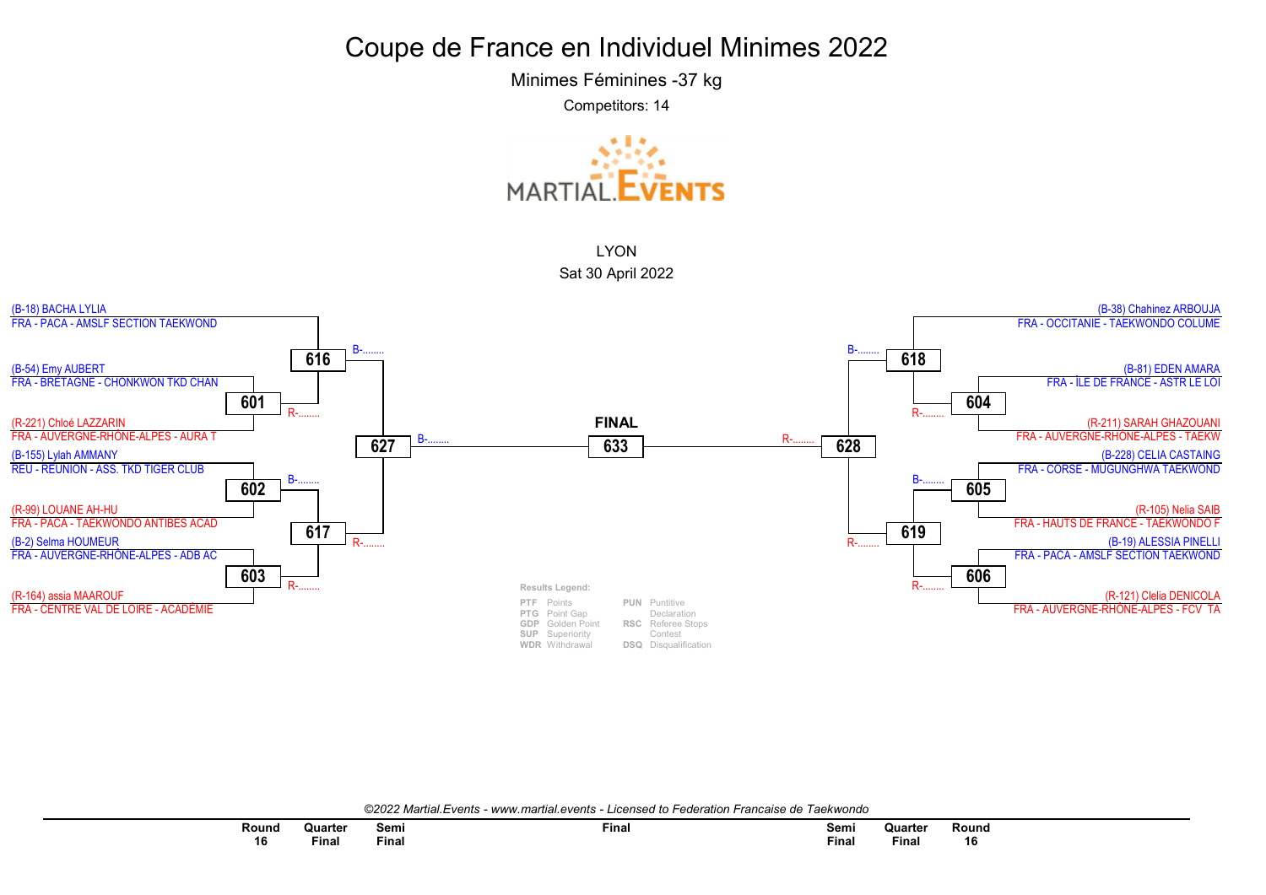Minimes Féminines -37 kg

Competitors: 14





©2022 Martial Events - www.martial.events - Licensed to Federation Francaise de Taekwondo

| Round | Quarter | Semi<br>$ -$ | Final | Semi<br>$ -$ | Quarter  | Round |
|-------|---------|--------------|-------|--------------|----------|-------|
| 16    | ∙inal   | Final        |       | <b>Final</b> | $F$ inal | 16    |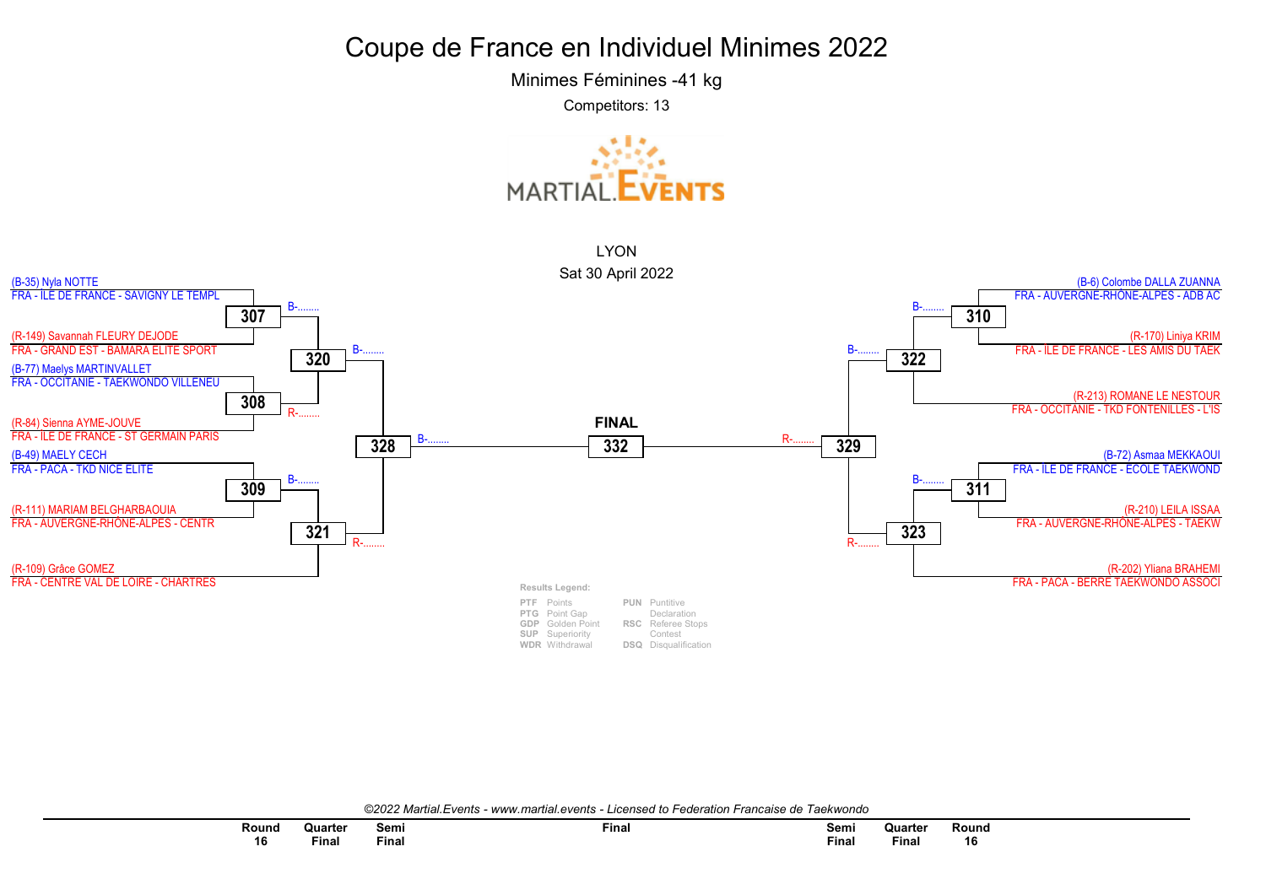Minimes Féminines -41 kg

Competitors: 13





©2022 Martial.Events - www.martial.events - Licensed to Federation Francaise de Taekwondo

| Round | Quarter  | Semi<br>$ -$ | Final | Semi  | Quarter      | Round |
|-------|----------|--------------|-------|-------|--------------|-------|
| 16    | $F$ inal | ™inaì        |       | Final | <b>Final</b> | 16    |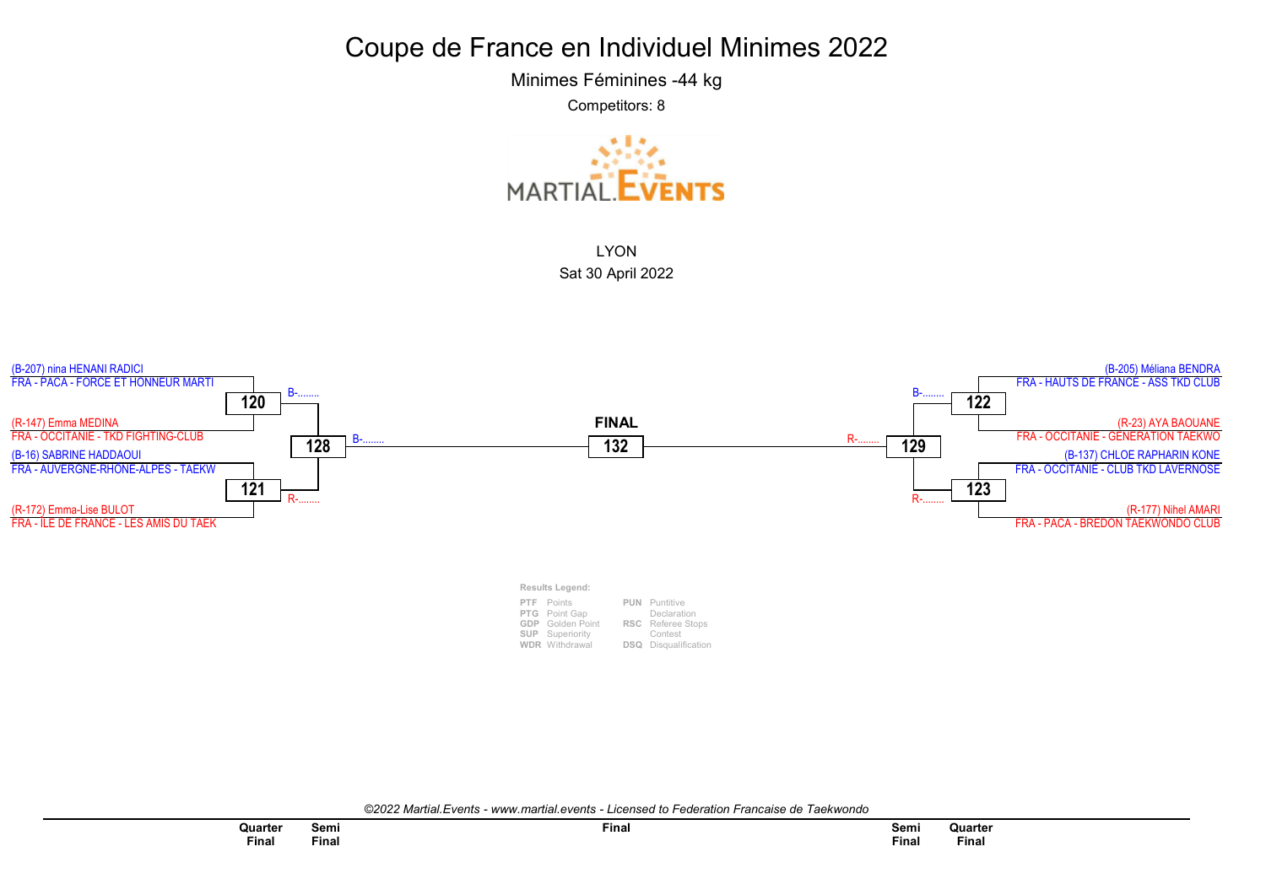Minimes Féminines -44 kg

Competitors: 8



LYON Sat 30 April 2022



©2022 Martial.Events - www.martial.events - Licensed to Federation Francaise de Taekwondo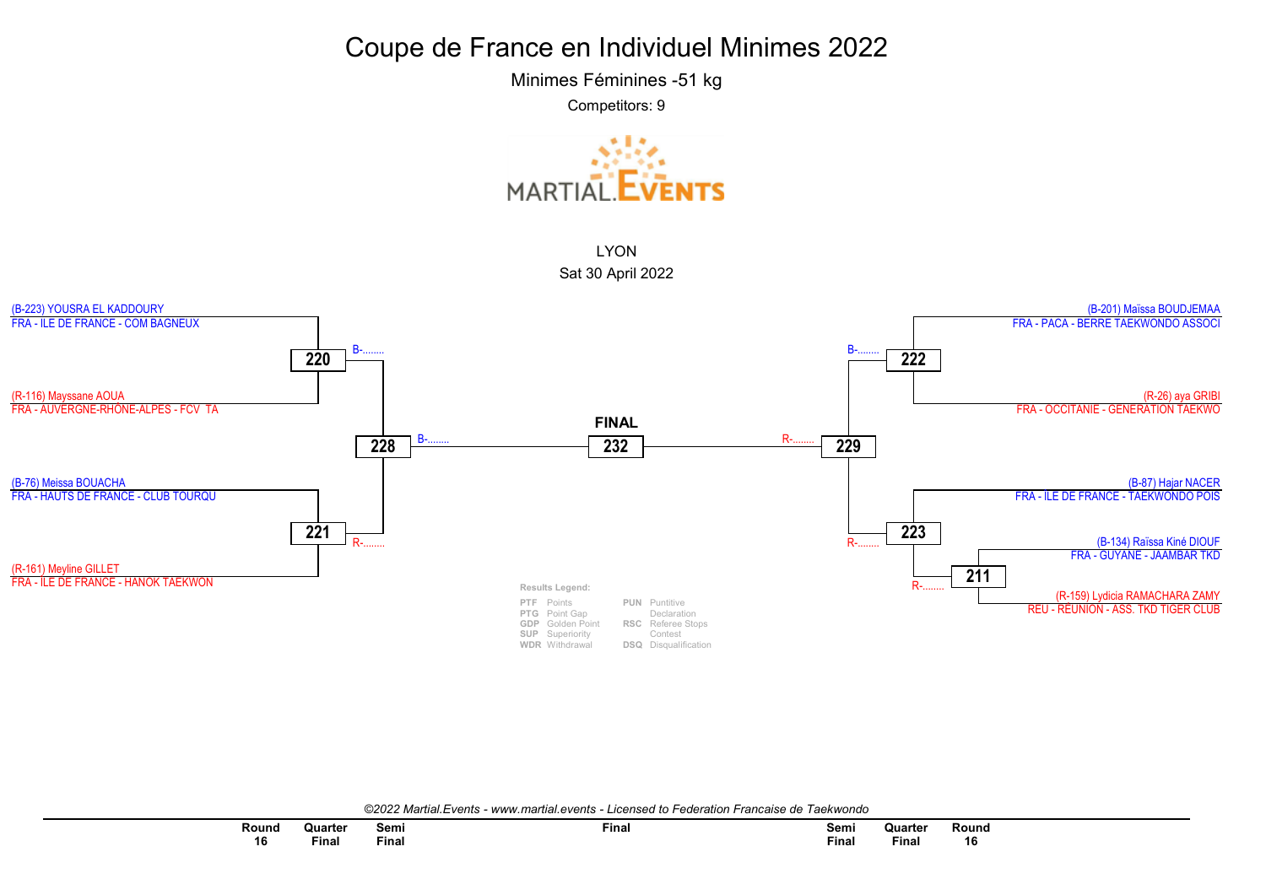Minimes Féminines -51 kg

Competitors: 9





©2022 Martial.Events - www.martial.events - Licensed to Federation Francaise de Taekwondo

| Round | Quarter | Semi         | Final | Semi         | Quarter | Round |
|-------|---------|--------------|-------|--------------|---------|-------|
| 16    | Final   | ---<br>Final |       | <b>Final</b> | Final   | 16    |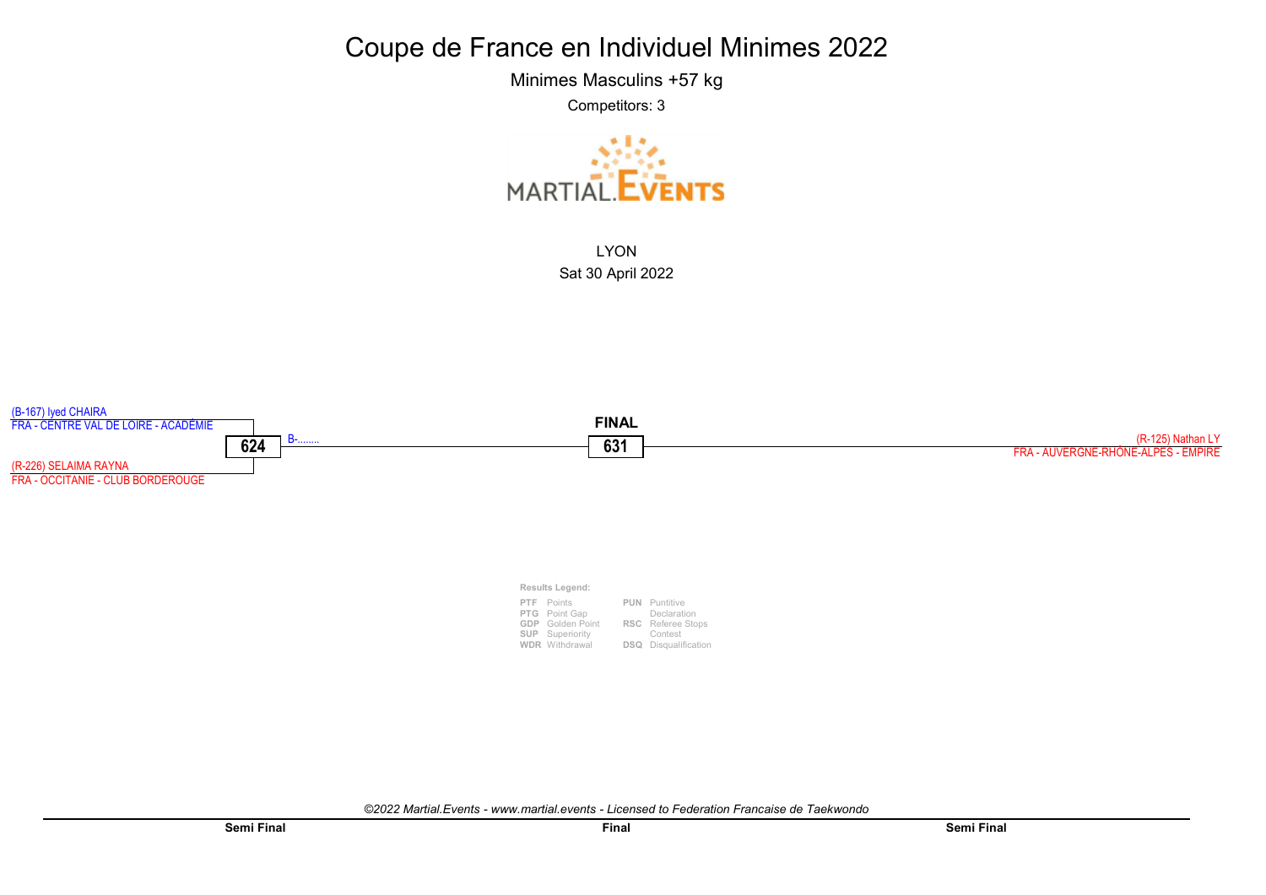Minimes Masculins +57 kg

Competitors: 3



LYON Sat 30 April 2022



Results Legend: PTF Points PTG Point Gap GDP Golden Point SUP Superiority PUN Puntitive RSC Referee Stops Declaration Contest

DSQ Disqualification

WDR Withdrawal

©2022 Martial.Events - www.martial.events - Licensed to Federation Francaise de Taekwondo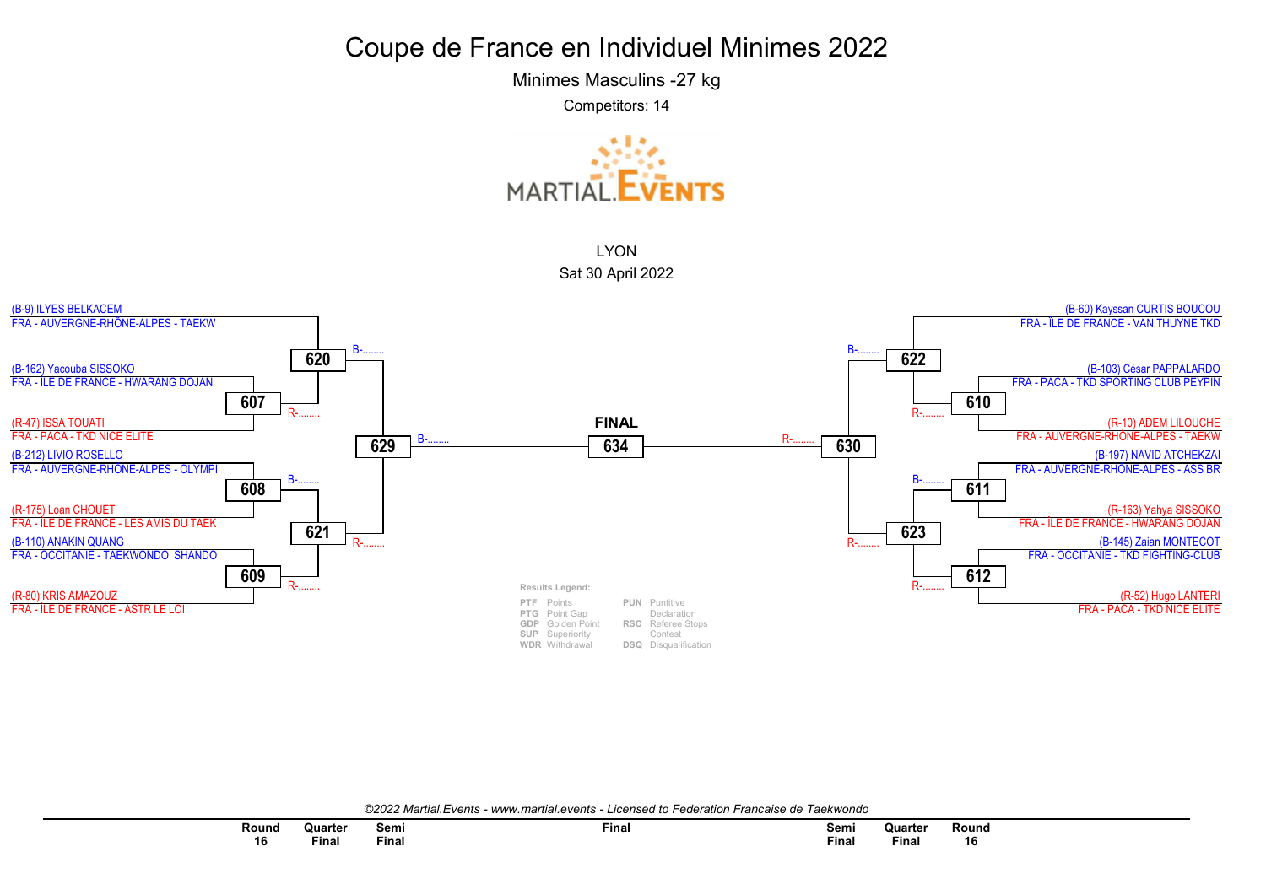Minimes Masculins -27 kg

Competitors: 14





©2022 Martial.Events - www.martial.events - Licensed to Federation Francaise de Taekwondo

| Round | Quarter | Semi<br>$ -$ | Final | Semi<br>___  | Quarter | Round |
|-------|---------|--------------|-------|--------------|---------|-------|
| 16    | Final   | Final        |       | <b>Final</b> | Final   | 16    |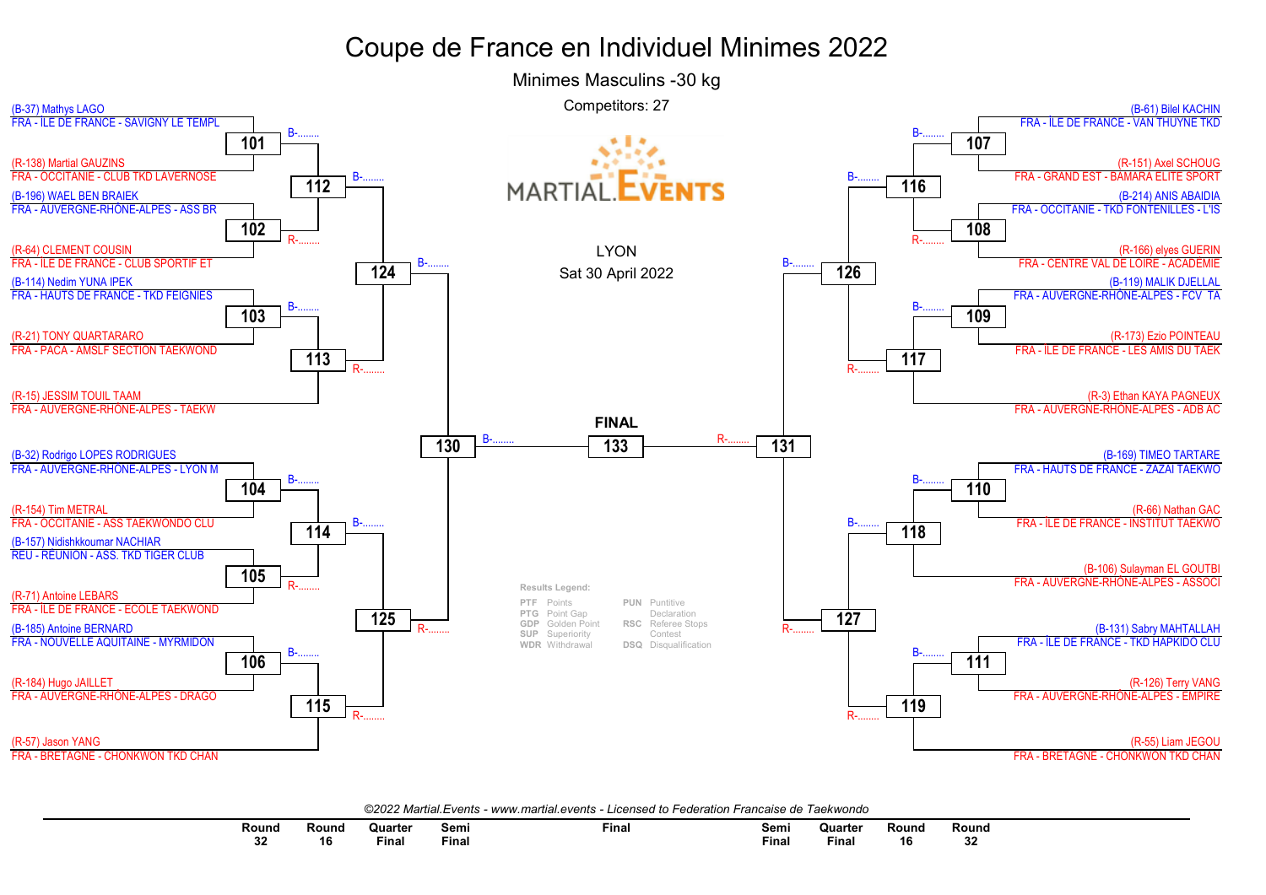

| Round     | Round | ≀uarteı                                                                                                         | Semi         | Final | Semi        | Quarter | Round | Round    |
|-----------|-------|-----------------------------------------------------------------------------------------------------------------|--------------|-------|-------------|---------|-------|----------|
|           |       | the contract of the contract of the contract of the contract of the contract of the contract of the contract of |              |       | $  -$       |         |       |          |
| e e<br>JZ | л к   | Final                                                                                                           | <b>Final</b> |       | --<br>Fina. | Final   | 16    | ^^<br>JZ |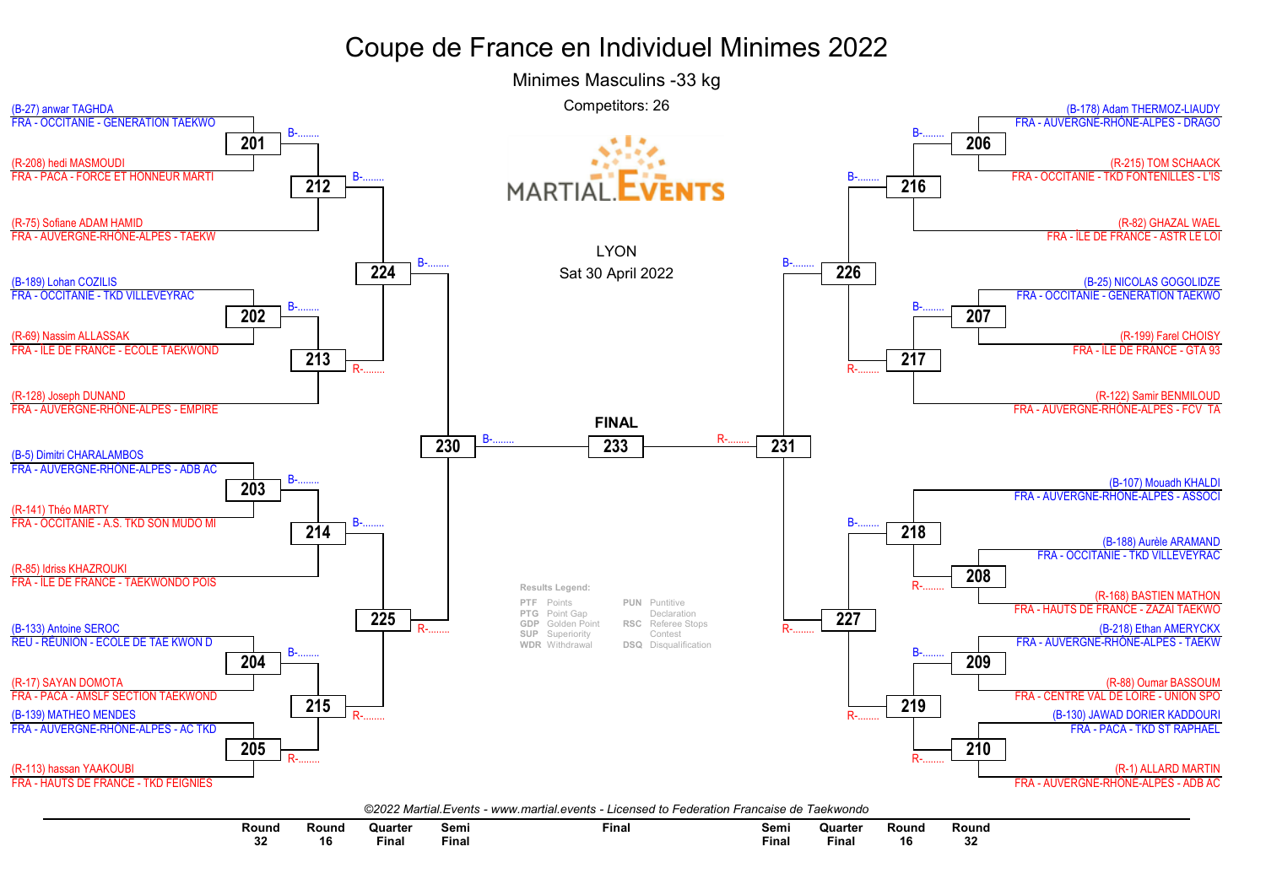

Round Round Quarter Semi Final Semi Quarter Round Round 32 16 Final **Final Final** Final  $16$ 32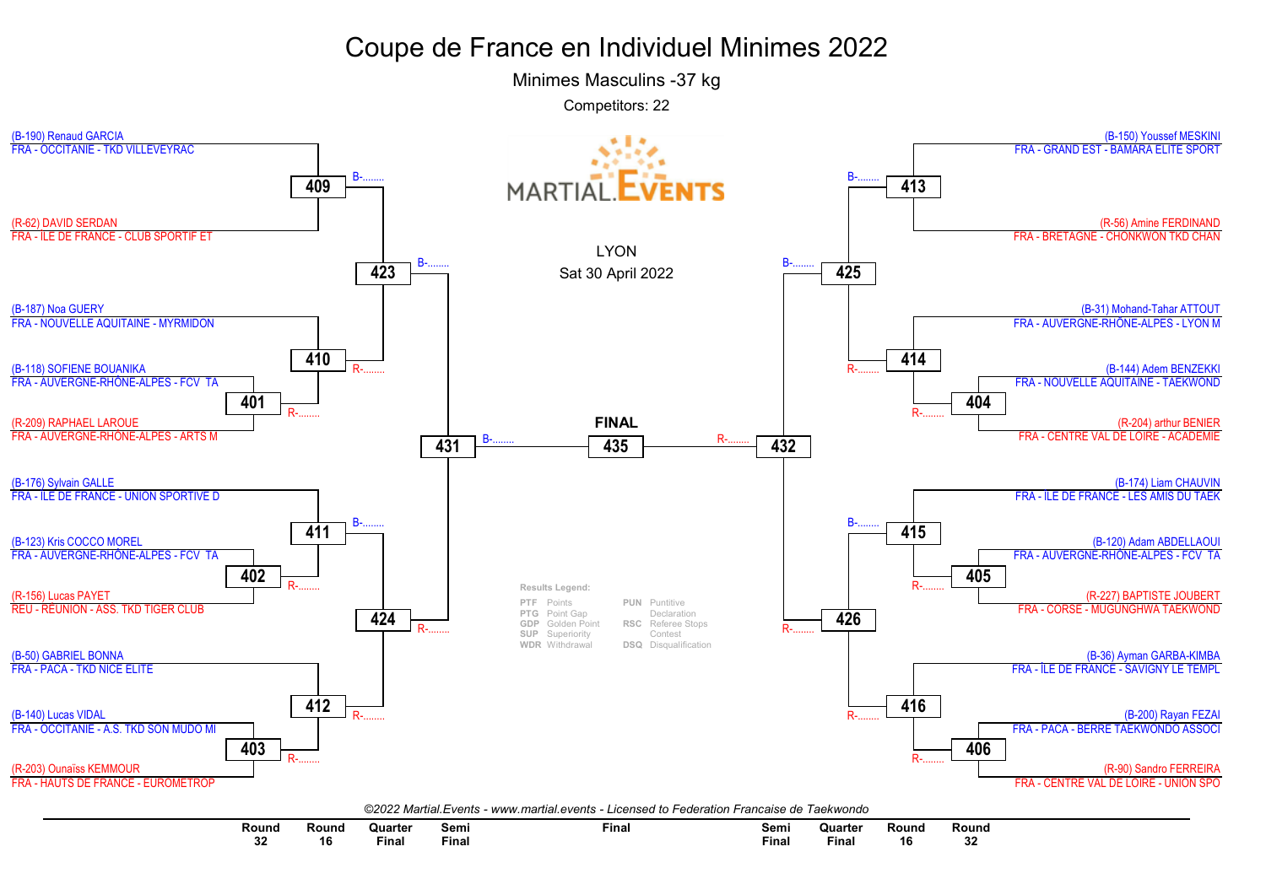Minimes Masculins -37 kg

Competitors: 22



| Round         | Round | Quarter      | semi  | Final | Semi       | Quarter | Round | Round |
|---------------|-------|--------------|-------|-------|------------|---------|-------|-------|
| $\sim$<br>-94 |       | <b>Final</b> | -ınaı |       | --<br>Fina | Fina.   | ם ו   | . .   |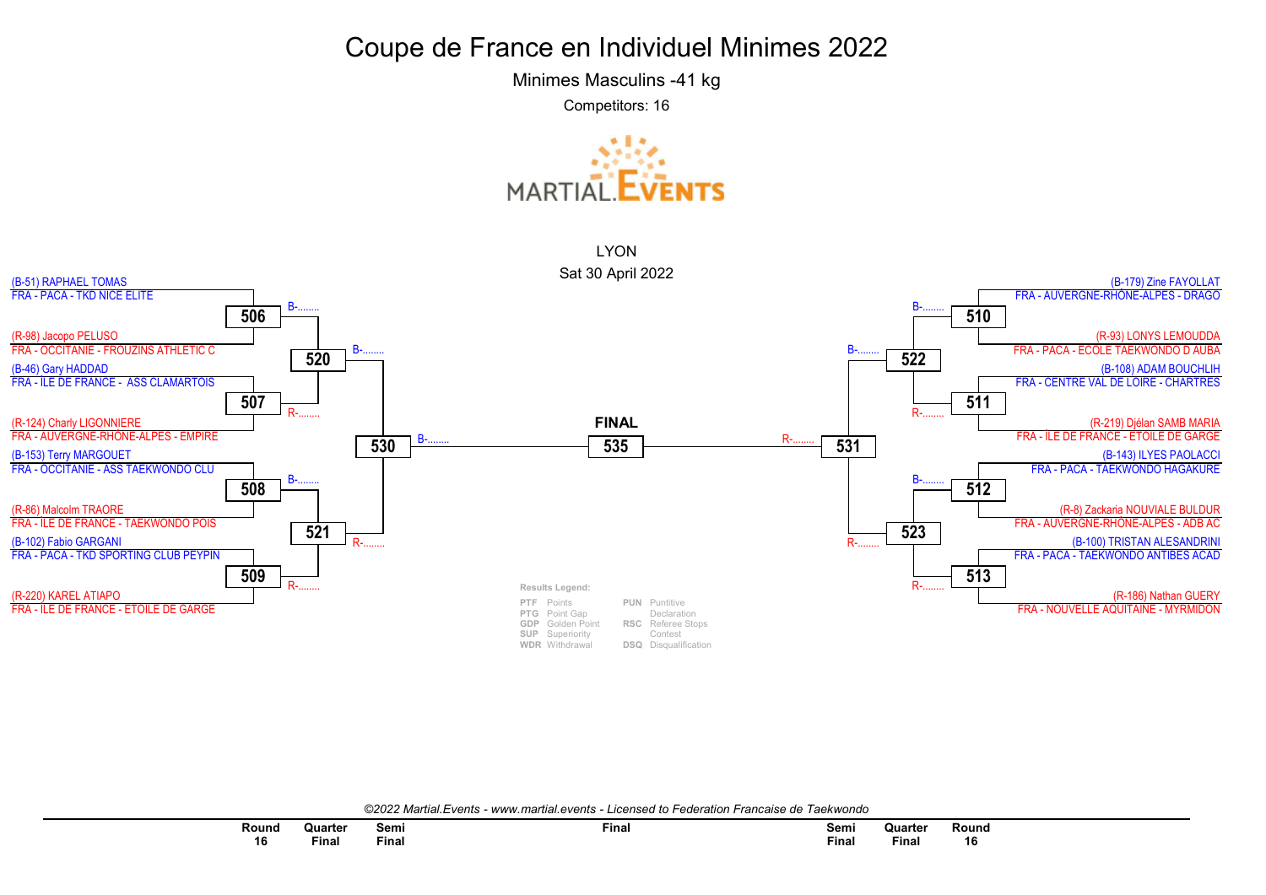Minimes Masculins -41 kg

Competitors: 16





©2022 Martial.Events - www.martial.events - Licensed to Federation Francaise de Taekwondo

| Round | Quarter | Semi<br>$ -$ | Final | Semi<br>___  | Quarter  | Round |
|-------|---------|--------------|-------|--------------|----------|-------|
| 16    | Final   | <b>Final</b> |       | <b>Final</b> | $F$ inal | 16    |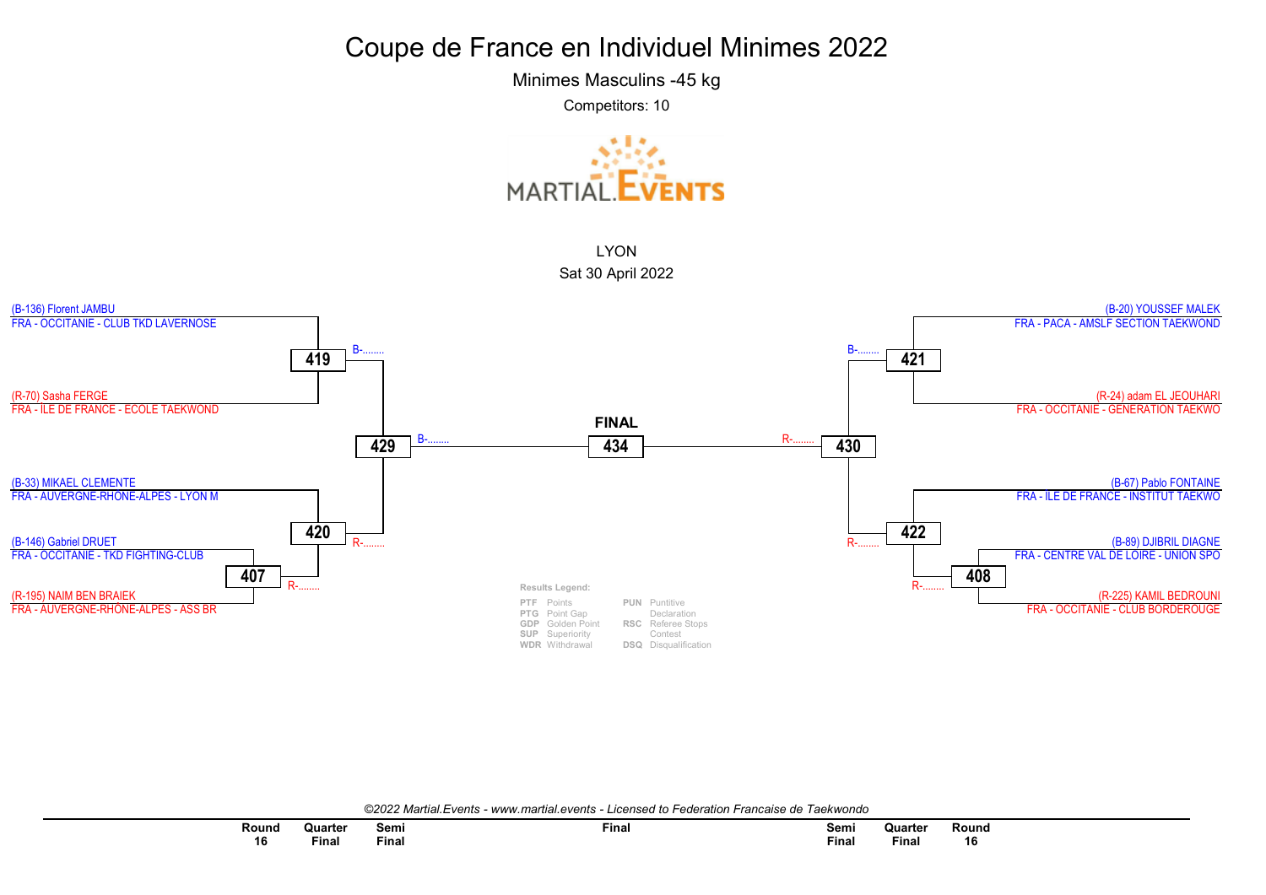Minimes Masculins -45 kg

Competitors: 10





©2022 Martial.Events - www.martial.events - Licensed to Federation Francaise de Taekwondo

| Round | Quarter | Semi        | <b>Final</b> | Semi    | Quarter  | Round |
|-------|---------|-------------|--------------|---------|----------|-------|
| 16    | Final   | --<br>™inal |              | $F$ ina | $F$ inal | 16    |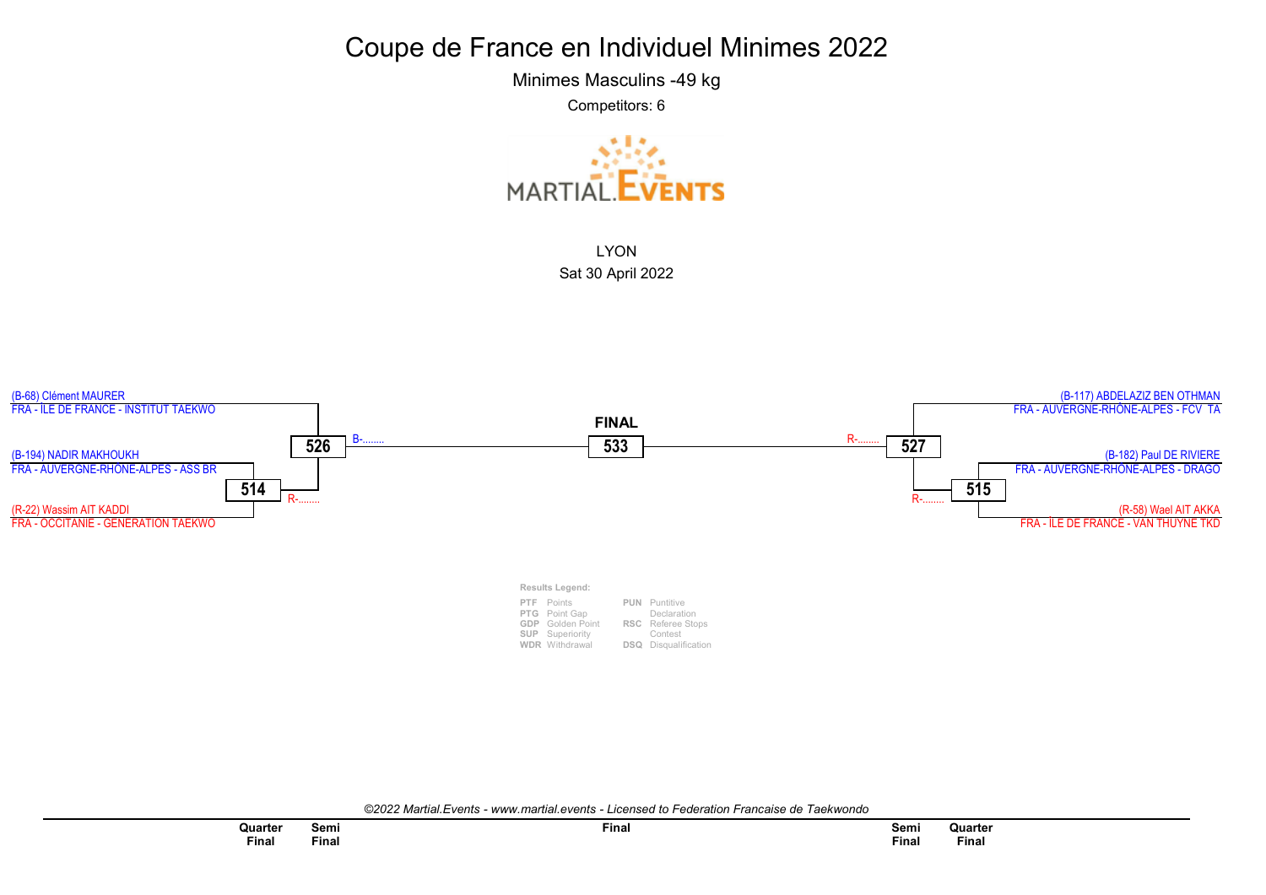Minimes Masculins -49 kg

Competitors: 6





©2022 Martial.Events - www.martial.events - Licensed to Federation Francaise de Taekwondo

| Quarter | Semi  | <b>Final</b> |
|---------|-------|--------------|
| Final   | Final |              |